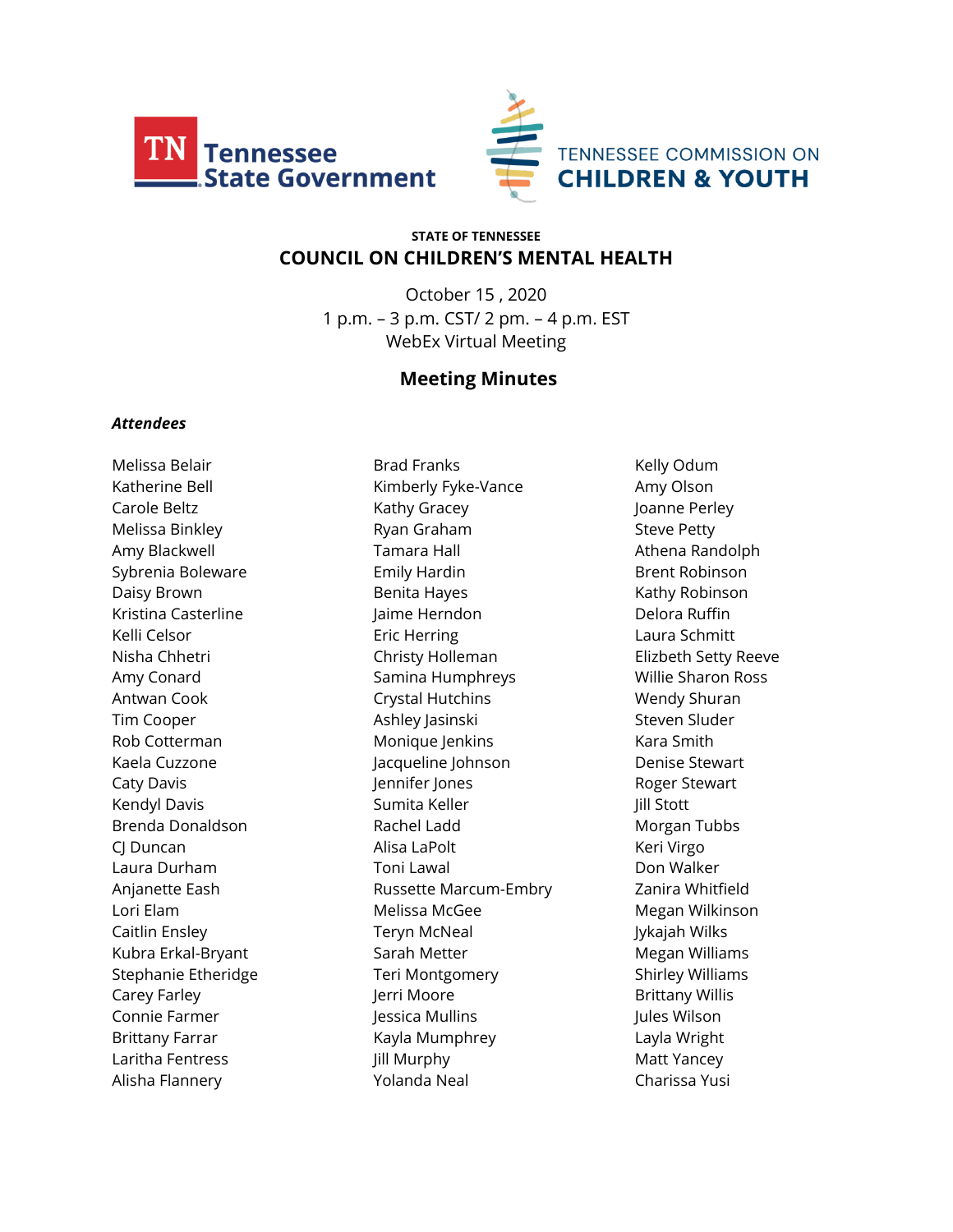



# **STATE OF TENNESSEE COUNCIL ON CHILDREN'S MENTAL HEALTH**

October 15 , 2020 1 p.m. – 3 p.m. CST/ 2 pm. – 4 p.m. EST WebEx Virtual Meeting

# **Meeting Minutes**

#### *Attendees*

Melissa Belair Katherine Bell Carole Beltz Melissa Binkley Amy Blackwell Sybrenia Boleware Daisy Brown Kristina Casterline Kelli Celsor Nisha Chhetri Amy Conard Antwan Cook Tim Cooper Rob Cotterman Kaela Cuzzone Caty Davis Kendyl Davis Brenda Donaldson CJ Duncan Laura Durham Anjanette Eash Lori Elam Caitlin Ensley Kubra Erkal-Bryant Stephanie Etheridge Carey Farley Connie Farmer Brittany Farrar Laritha Fentress Alisha Flannery

Brad Franks Kimberly Fyke-Vance Kathy Gracey Ryan Graham Tamara Hall Emily Hardin Benita Hayes Jaime Herndon Eric Herring Christy Holleman Samina Humphreys Crystal Hutchins Ashley Jasinski Monique Jenkins Jacqueline Johnson Jennifer Jones Sumita Keller Rachel Ladd Alisa LaPolt Toni Lawal Russette Marcum-Embry Melissa McGee Teryn McNeal Sarah Metter Teri Montgomery Jerri Moore Jessica Mullins Kayla Mumphrey Jill Murphy Yolanda Neal

Kelly Odum Amy Olson Joanne Perley Steve Petty Athena Randolph Brent Robinson Kathy Robinson Delora Ruffin Laura Schmitt Elizbeth Setty Reeve Willie Sharon Ross Wendy Shuran Steven Sluder Kara Smith Denise Stewart Roger Stewart Jill Stott Morgan Tubbs Keri Virgo Don Walker Zanira Whitfield Megan Wilkinson Jykajah Wilks Megan Williams Shirley Williams Brittany Willis Jules Wilson Layla Wright Matt Yancey Charissa Yusi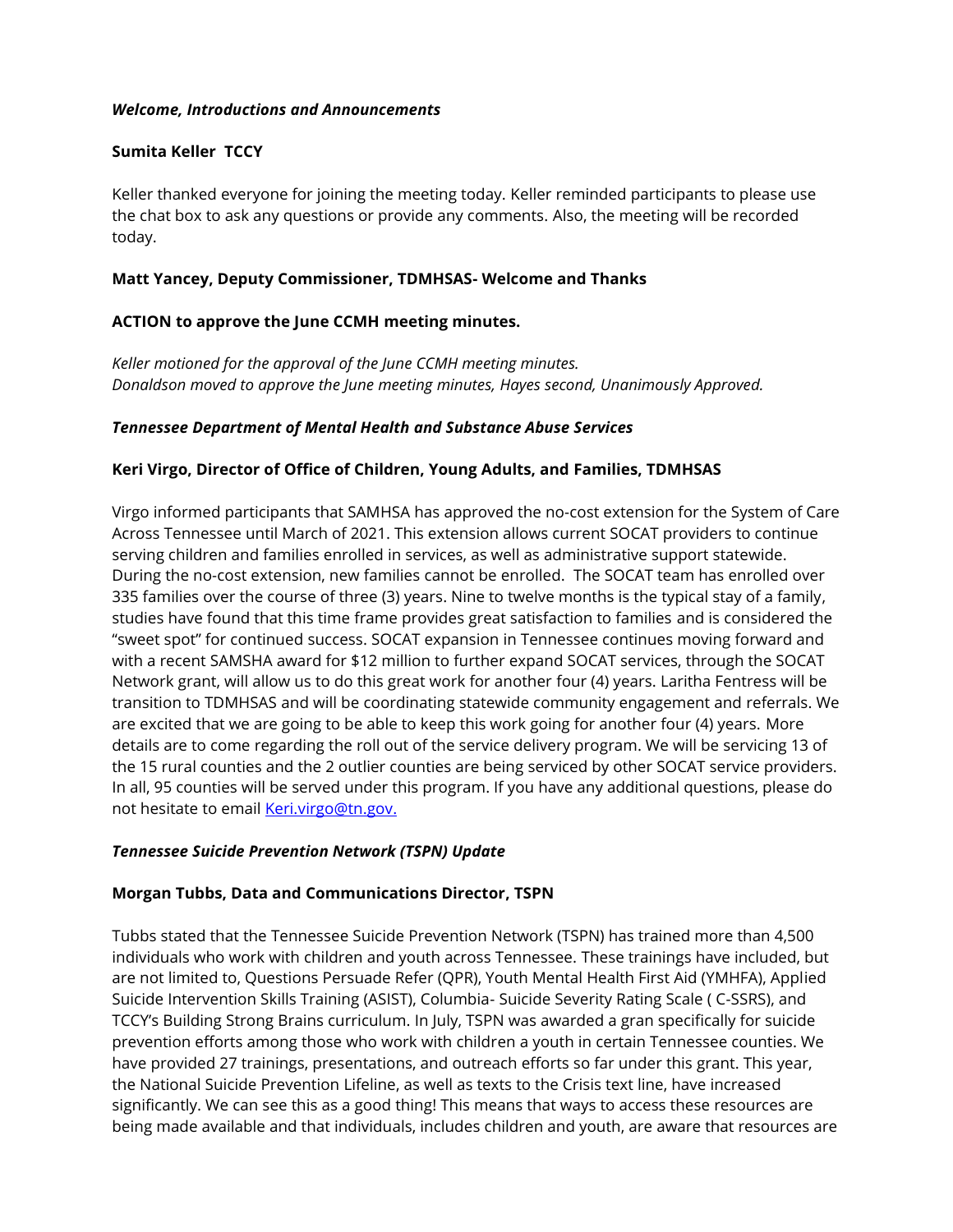#### *Welcome, Introductions and Announcements*

### **Sumita Keller TCCY**

Keller thanked everyone for joining the meeting today. Keller reminded participants to please use the chat box to ask any questions or provide any comments. Also, the meeting will be recorded today.

### **Matt Yancey, Deputy Commissioner, TDMHSAS- Welcome and Thanks**

# **ACTION to approve the June CCMH meeting minutes.**

*Keller motioned for the approval of the June CCMH meeting minutes. Donaldson moved to approve the June meeting minutes, Hayes second, Unanimously Approved.* 

### *Tennessee Department of Mental Health and Substance Abuse Services*

### **Keri Virgo, Director of Office of Children, Young Adults, and Families, TDMHSAS**

Virgo informed participants that SAMHSA has approved the no-cost extension for the System of Care Across Tennessee until March of 2021. This extension allows current SOCAT providers to continue serving children and families enrolled in services, as well as administrative support statewide. During the no-cost extension, new families cannot be enrolled. The SOCAT team has enrolled over 335 families over the course of three (3) years. Nine to twelve months is the typical stay of a family, studies have found that this time frame provides great satisfaction to families and is considered the "sweet spot" for continued success. SOCAT expansion in Tennessee continues moving forward and with a recent SAMSHA award for \$12 million to further expand SOCAT services, through the SOCAT Network grant, will allow us to do this great work for another four (4) years. Laritha Fentress will be transition to TDMHSAS and will be coordinating statewide community engagement and referrals. We are excited that we are going to be able to keep this work going for another four (4) years. More details are to come regarding the roll out of the service delivery program. We will be servicing 13 of the 15 rural counties and the 2 outlier counties are being serviced by other SOCAT service providers. In all, 95 counties will be served under this program. If you have any additional questions, please do not hesitate to email [Keri.virgo@tn.gov.](mailto:Keri.virgo@tn.gov)

#### *Tennessee Suicide Prevention Network (TSPN) Update*

#### **Morgan Tubbs, Data and Communications Director, TSPN**

Tubbs stated that the Tennessee Suicide Prevention Network (TSPN) has trained more than 4,500 individuals who work with children and youth across Tennessee. These trainings have included, but are not limited to, Questions Persuade Refer (QPR), Youth Mental Health First Aid (YMHFA), Applied Suicide Intervention Skills Training (ASIST), Columbia- Suicide Severity Rating Scale ( C-SSRS), and TCCY's Building Strong Brains curriculum. In July, TSPN was awarded a gran specifically for suicide prevention efforts among those who work with children a youth in certain Tennessee counties. We have provided 27 trainings, presentations, and outreach efforts so far under this grant. This year, the National Suicide Prevention Lifeline, as well as texts to the Crisis text line, have increased significantly. We can see this as a good thing! This means that ways to access these resources are being made available and that individuals, includes children and youth, are aware that resources are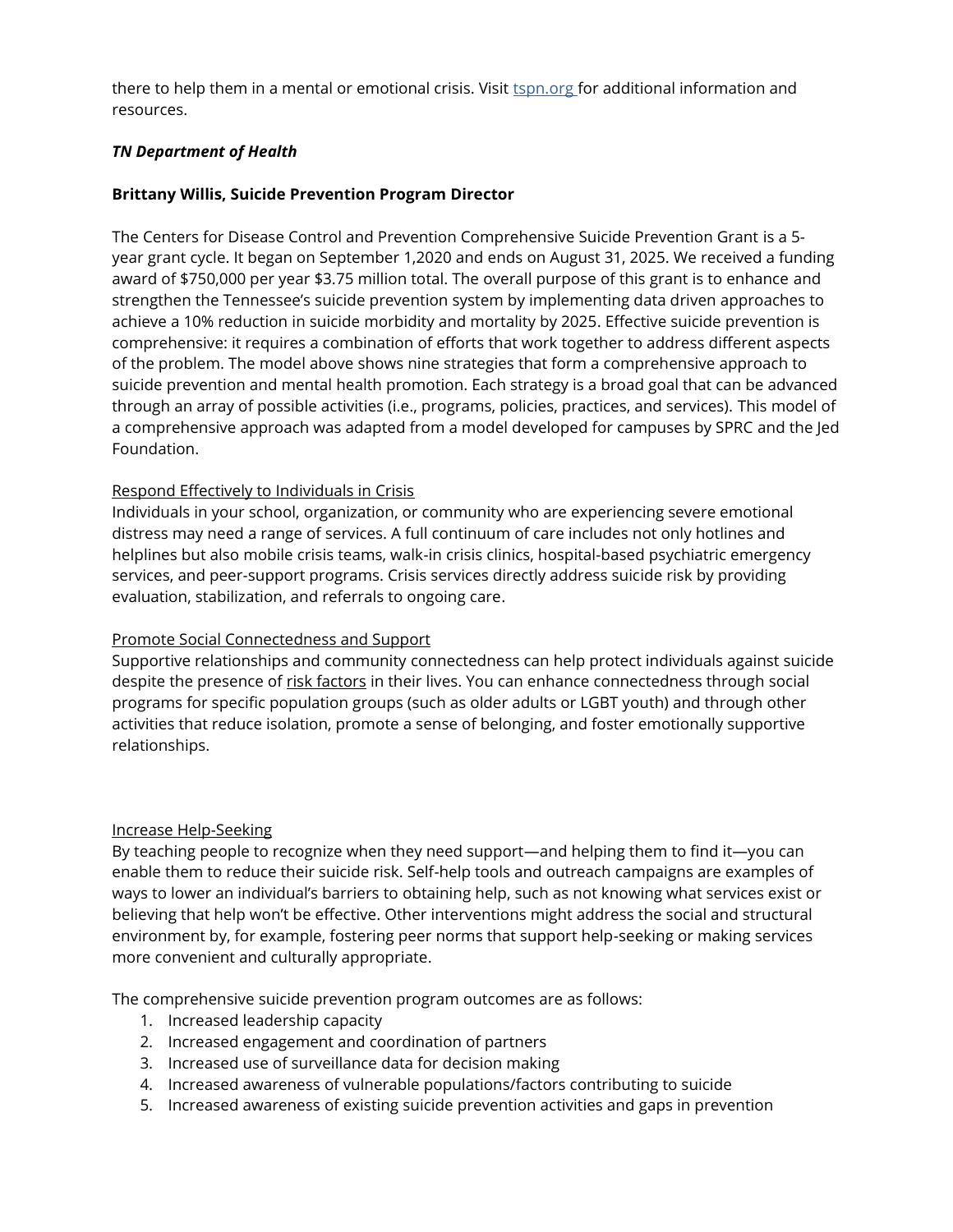there to help them in a mental or emotional crisis. Visit tspn.org for additional information and resources.

### *TN Department of Health*

### **Brittany Willis, Suicide Prevention Program Director**

The Centers for Disease Control and Prevention Comprehensive Suicide Prevention Grant is a 5 year grant cycle. It began on September 1,2020 and ends on August 31, 2025. We received a funding award of \$750,000 per year \$3.75 million total. The overall purpose of this grant is to enhance and strengthen the Tennessee's suicide prevention system by implementing data driven approaches to achieve a 10% reduction in suicide morbidity and mortality by 2025. Effective suicide prevention is comprehensive: it requires a combination of efforts that work together to address different aspects of the problem. The model above shows nine strategies that form a comprehensive approach to suicide prevention and mental health promotion. Each strategy is a broad goal that can be advanced through an array of possible activities (i.e., programs, policies, practices, and services). This model of a comprehensive approach was adapted from a model developed for campuses by SPRC and the Jed Foundation.

### [Respond Effectively to Individuals in Crisis](https://www.sprc.org/comprehensive-approach/respond-to-crisis)

Individuals in your school, organization, or community who are experiencing severe emotional distress may need a range of services. A full continuum of care includes not only hotlines and helplines but also mobile crisis teams, walk-in crisis clinics, hospital-based psychiatric emergency services, and peer-support programs. Crisis services directly address suicide risk by providing evaluation, stabilization, and referrals to ongoing care.

#### [Promote Social Connectedness and Support](https://www.sprc.org/comprehensive-approach/social-connectedness)

Supportive relationships and community connectedness can help protect individuals against suicide despite the presence of [risk factors](https://www.sprc.org/about-suicide/risk-protective-factors) in their lives. You can enhance connectedness through social programs for specific population groups (such as older adults or LGBT youth) and through other activities that reduce isolation, promote a sense of belonging, and foster emotionally supportive relationships.

#### [Increase Help-Seeking](https://www.sprc.org/comprehensive-approach/help-seeking)

By teaching people to recognize when they need support—and helping them to find it—you can enable them to reduce their suicide risk. Self-help tools and outreach campaigns are examples of ways to lower an individual's barriers to obtaining help, such as not knowing what services exist or believing that help won't be effective. Other interventions might address the social and structural environment by, for example, fostering peer norms that support help-seeking or making services more convenient and culturally appropriate.

The comprehensive suicide prevention program outcomes are as follows:

- 1. Increased leadership capacity
- 2. Increased engagement and coordination of partners
- 3. Increased use of surveillance data for decision making
- 4. Increased awareness of vulnerable populations/factors contributing to suicide
- 5. Increased awareness of existing suicide prevention activities and gaps in prevention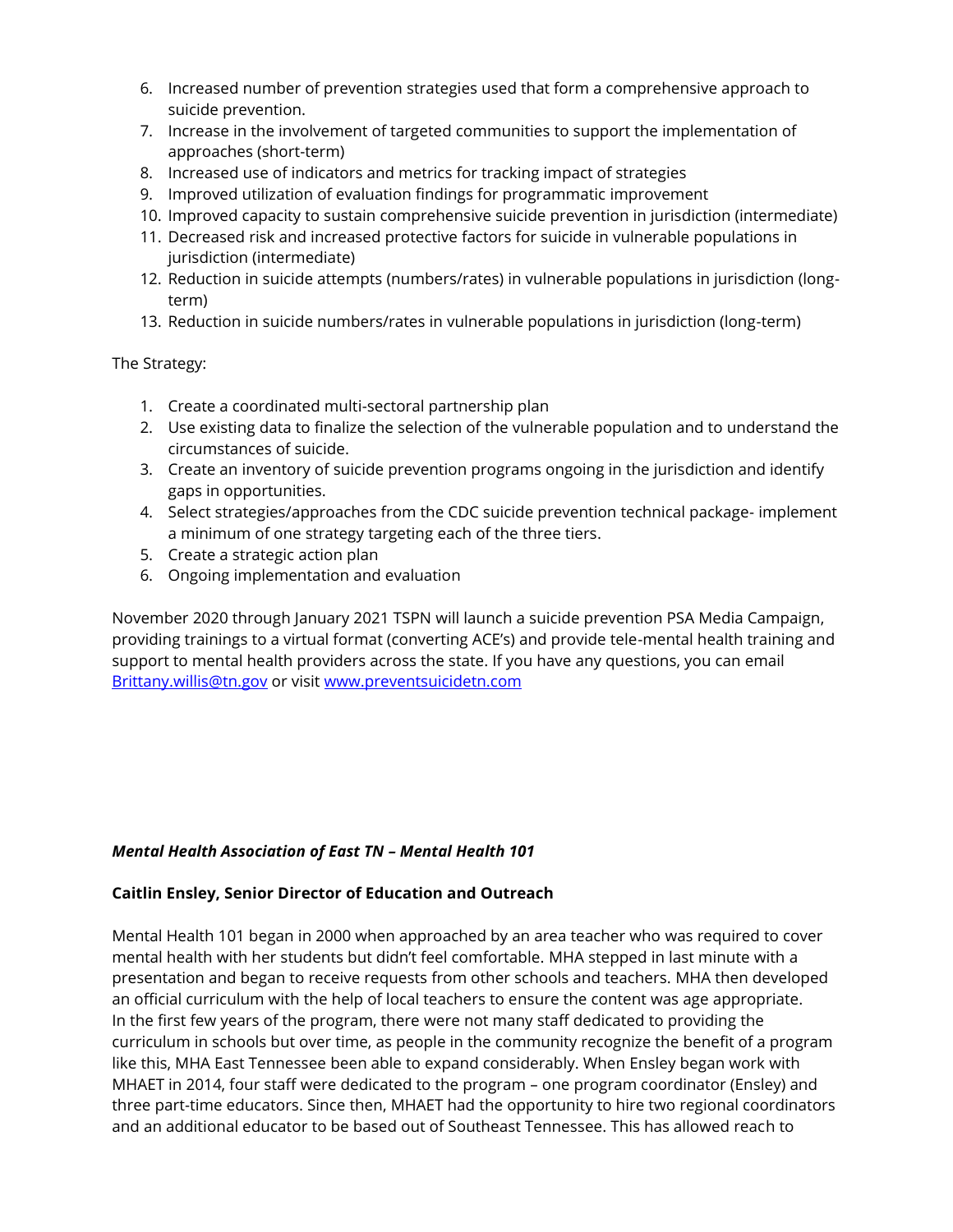- 6. Increased number of prevention strategies used that form a comprehensive approach to suicide prevention.
- 7. Increase in the involvement of targeted communities to support the implementation of approaches (short-term)
- 8. Increased use of indicators and metrics for tracking impact of strategies
- 9. Improved utilization of evaluation findings for programmatic improvement
- 10. Improved capacity to sustain comprehensive suicide prevention in jurisdiction (intermediate)
- 11. Decreased risk and increased protective factors for suicide in vulnerable populations in jurisdiction (intermediate)
- 12. Reduction in suicide attempts (numbers/rates) in vulnerable populations in jurisdiction (longterm)
- 13. Reduction in suicide numbers/rates in vulnerable populations in jurisdiction (long-term)

The Strategy:

- 1. Create a coordinated multi-sectoral partnership plan
- 2. Use existing data to finalize the selection of the vulnerable population and to understand the circumstances of suicide.
- 3. Create an inventory of suicide prevention programs ongoing in the jurisdiction and identify gaps in opportunities.
- 4. Select strategies/approaches from the CDC suicide prevention technical package- implement a minimum of one strategy targeting each of the three tiers.
- 5. Create a strategic action plan
- 6. Ongoing implementation and evaluation

November 2020 through January 2021 TSPN will launch a suicide prevention PSA Media Campaign, providing trainings to a virtual format (converting ACE's) and provide tele-mental health training and support to mental health providers across the state. If you have any questions, you can email [Brittany.willis@tn.gov](mailto:Brittany.willis@tn.gov) or visit [www.preventsuicidetn.com](http://www.preventsuicidetn.com/)

#### *Mental Health Association of East TN – Mental Health 101*

#### **Caitlin Ensley, Senior Director of Education and Outreach**

Mental Health 101 began in 2000 when approached by an area teacher who was required to cover mental health with her students but didn't feel comfortable. MHA stepped in last minute with a presentation and began to receive requests from other schools and teachers. MHA then developed an official curriculum with the help of local teachers to ensure the content was age appropriate. In the first few years of the program, there were not many staff dedicated to providing the curriculum in schools but over time, as people in the community recognize the benefit of a program like this, MHA East Tennessee been able to expand considerably. When Ensley began work with MHAET in 2014, four staff were dedicated to the program – one program coordinator (Ensley) and three part-time educators. Since then, MHAET had the opportunity to hire two regional coordinators and an additional educator to be based out of Southeast Tennessee. This has allowed reach to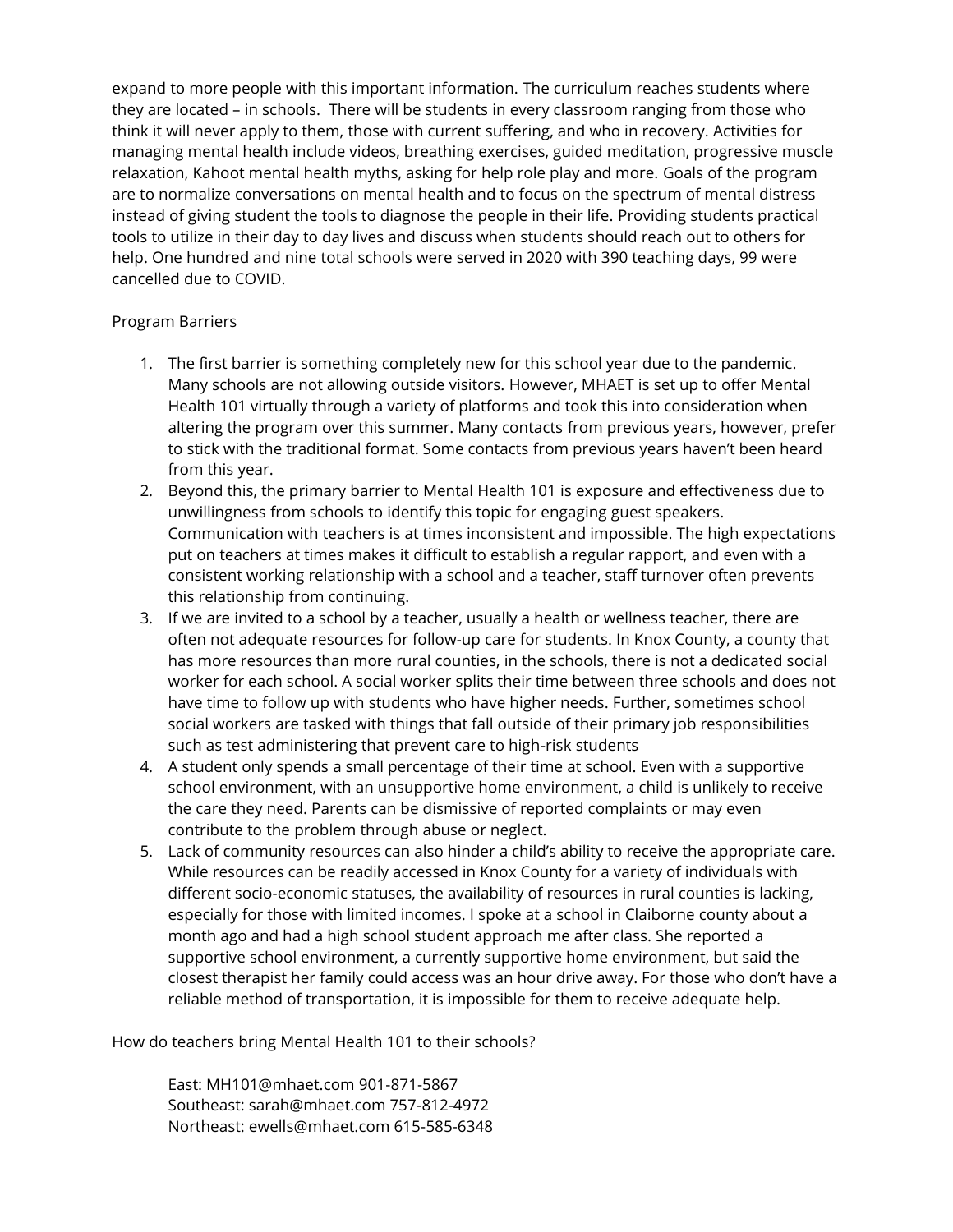expand to more people with this important information. The curriculum reaches students where they are located – in schools. There will be students in every classroom ranging from those who think it will never apply to them, those with current suffering, and who in recovery. Activities for managing mental health include videos, breathing exercises, guided meditation, progressive muscle relaxation, Kahoot mental health myths, asking for help role play and more. Goals of the program are to normalize conversations on mental health and to focus on the spectrum of mental distress instead of giving student the tools to diagnose the people in their life. Providing students practical tools to utilize in their day to day lives and discuss when students should reach out to others for help. One hundred and nine total schools were served in 2020 with 390 teaching days, 99 were cancelled due to COVID.

### Program Barriers

- 1. The first barrier is something completely new for this school year due to the pandemic. Many schools are not allowing outside visitors. However, MHAET is set up to offer Mental Health 101 virtually through a variety of platforms and took this into consideration when altering the program over this summer. Many contacts from previous years, however, prefer to stick with the traditional format. Some contacts from previous years haven't been heard from this year.
- 2. Beyond this, the primary barrier to Mental Health 101 is exposure and effectiveness due to unwillingness from schools to identify this topic for engaging guest speakers. Communication with teachers is at times inconsistent and impossible. The high expectations put on teachers at times makes it difficult to establish a regular rapport, and even with a consistent working relationship with a school and a teacher, staff turnover often prevents this relationship from continuing.
- 3. If we are invited to a school by a teacher, usually a health or wellness teacher, there are often not adequate resources for follow-up care for students. In Knox County, a county that has more resources than more rural counties, in the schools, there is not a dedicated social worker for each school. A social worker splits their time between three schools and does not have time to follow up with students who have higher needs. Further, sometimes school social workers are tasked with things that fall outside of their primary job responsibilities such as test administering that prevent care to high-risk students
- 4. A student only spends a small percentage of their time at school. Even with a supportive school environment, with an unsupportive home environment, a child is unlikely to receive the care they need. Parents can be dismissive of reported complaints or may even contribute to the problem through abuse or neglect.
- 5. Lack of community resources can also hinder a child's ability to receive the appropriate care. While resources can be readily accessed in Knox County for a variety of individuals with different socio-economic statuses, the availability of resources in rural counties is lacking, especially for those with limited incomes. I spoke at a school in Claiborne county about a month ago and had a high school student approach me after class. She reported a supportive school environment, a currently supportive home environment, but said the closest therapist her family could access was an hour drive away. For those who don't have a reliable method of transportation, it is impossible for them to receive adequate help.

How do teachers bring Mental Health 101 to their schools?

East: MH101@mhaet.com 901-871-5867 Southeast: sarah@mhaet.com 757-812-4972 Northeast: ewells@mhaet.com 615-585-6348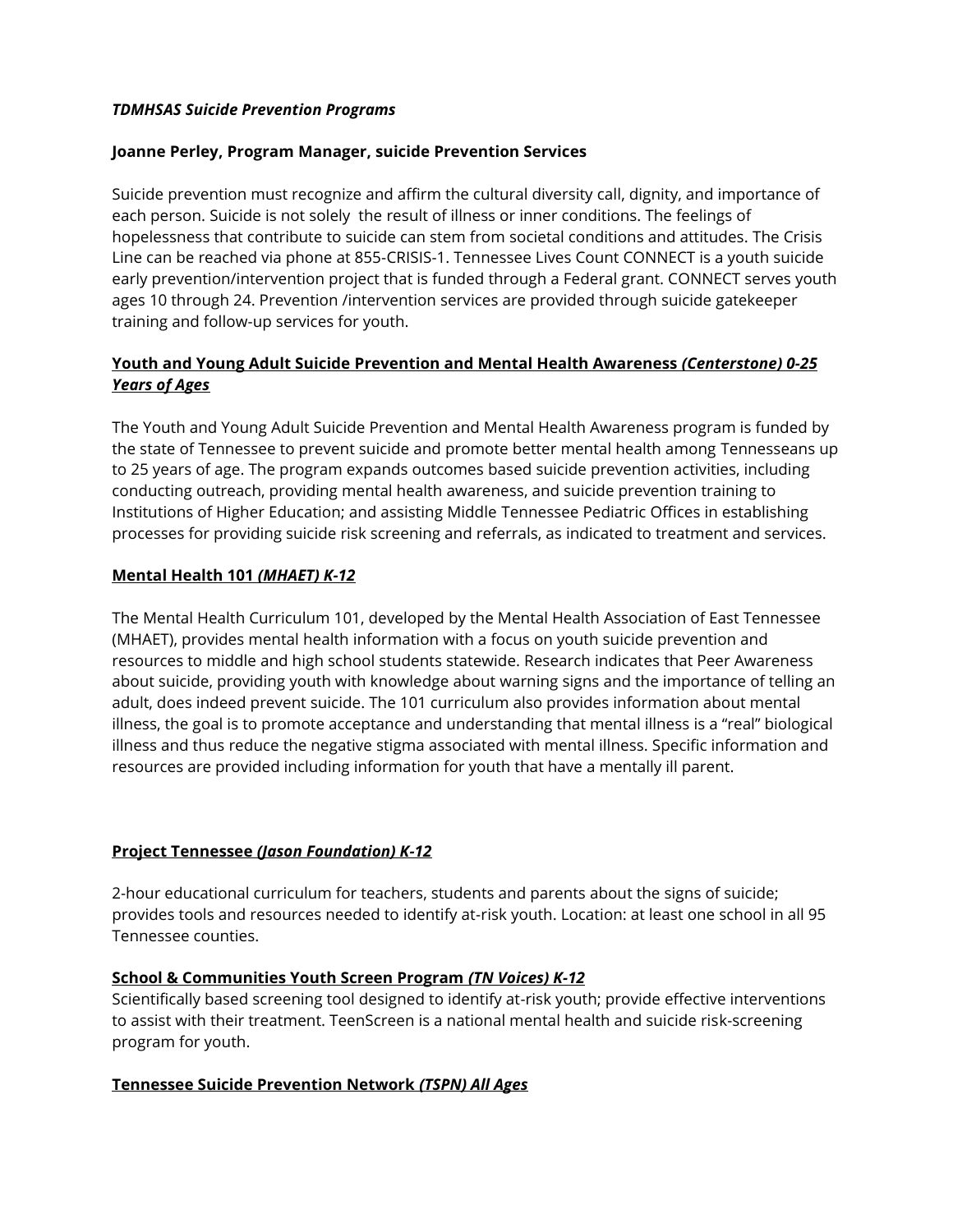### *TDMHSAS Suicide Prevention Programs*

### **Joanne Perley, Program Manager, suicide Prevention Services**

Suicide prevention must recognize and affirm the cultural diversity call, dignity, and importance of each person. Suicide is not solely the result of illness or inner conditions. The feelings of hopelessness that contribute to suicide can stem from societal conditions and attitudes. The Crisis Line can be reached via phone at 855-CRISIS-1. Tennessee Lives Count CONNECT is a youth suicide early prevention/intervention project that is funded through a Federal grant. CONNECT serves youth ages 10 through 24. Prevention /intervention services are provided through suicide gatekeeper training and follow-up services for youth.

# **Youth and Young Adult Suicide Prevention and Mental Health Awareness** *(Centerstone) 0-25 Years of Ages*

The Youth and Young Adult Suicide Prevention and Mental Health Awareness program is funded by the state of Tennessee to prevent suicide and promote better mental health among Tennesseans up to 25 years of age. The program expands outcomes based suicide prevention activities, including conducting outreach, providing mental health awareness, and suicide prevention training to Institutions of Higher Education; and assisting Middle Tennessee Pediatric Offices in establishing processes for providing suicide risk screening and referrals, as indicated to treatment and services.

# **Mental Health 101** *(MHAET) K-12*

The Mental Health Curriculum 101, developed by the Mental Health Association of East Tennessee (MHAET), provides mental health information with a focus on youth suicide prevention and resources to middle and high school students statewide. Research indicates that Peer Awareness about suicide, providing youth with knowledge about warning signs and the importance of telling an adult, does indeed prevent suicide. The 101 curriculum also provides information about mental illness, the goal is to promote acceptance and understanding that mental illness is a "real" biological illness and thus reduce the negative stigma associated with mental illness. Specific information and resources are provided including information for youth that have a mentally ill parent.

# **Project Tennessee** *(Jason Foundation) K-12*

2-hour educational curriculum for teachers, students and parents about the signs of suicide; provides tools and resources needed to identify at-risk youth. Location: at least one school in all 95 Tennessee counties.

#### **School & Communities Youth Screen Program** *(TN Voices) K-12*

Scientifically based screening tool designed to identify at-risk youth; provide effective interventions to assist with their treatment. TeenScreen is a national mental health and suicide risk-screening program for youth.

#### **Tennessee Suicide Prevention Network** *(TSPN) All Ages*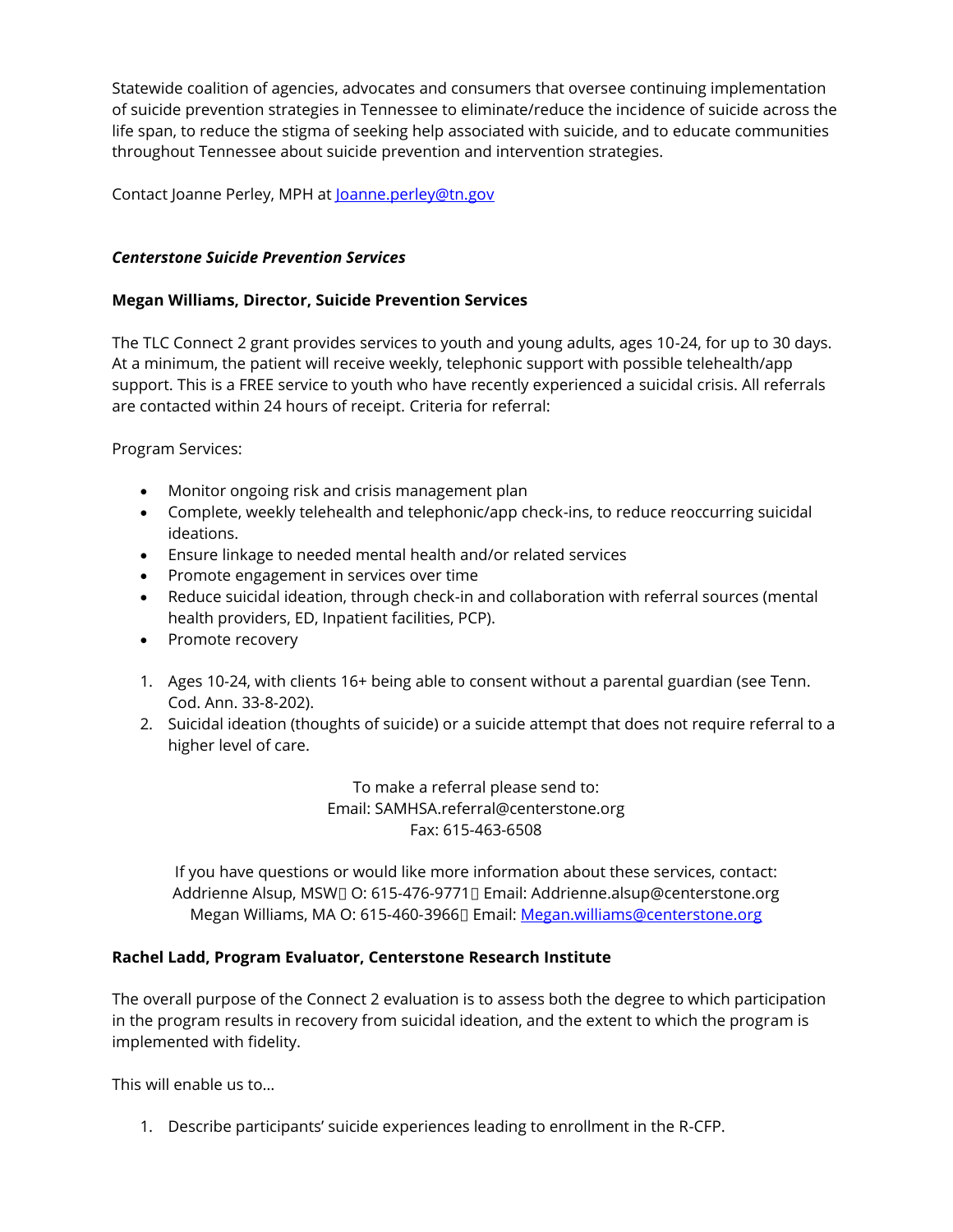Statewide coalition of agencies, advocates and consumers that oversee continuing implementation of suicide prevention strategies in Tennessee to eliminate/reduce the incidence of suicide across the life span, to reduce the stigma of seeking help associated with suicide, and to educate communities throughout Tennessee about suicide prevention and intervention strategies.

Contact Joanne Perley, MPH at **Joanne.perley@tn.gov** 

### *Centerstone Suicide Prevention Services*

### **Megan Williams, Director, Suicide Prevention Services**

The TLC Connect 2 grant provides services to youth and young adults, ages 10-24, for up to 30 days. At a minimum, the patient will receive weekly, telephonic support with possible telehealth/app support. This is a FREE service to youth who have recently experienced a suicidal crisis. All referrals are contacted within 24 hours of receipt. Criteria for referral:

Program Services:

- Monitor ongoing risk and crisis management plan
- Complete, weekly telehealth and telephonic/app check-ins, to reduce reoccurring suicidal ideations.
- Ensure linkage to needed mental health and/or related services
- Promote engagement in services over time
- Reduce suicidal ideation, through check-in and collaboration with referral sources (mental health providers, ED, Inpatient facilities, PCP).
- Promote recovery
- 1. Ages 10-24, with clients 16+ being able to consent without a parental guardian (see Tenn. Cod. Ann. 33-8-202).
- 2. Suicidal ideation (thoughts of suicide) or a suicide attempt that does not require referral to a higher level of care.

To make a referral please send to: Email: SAMHSA.referral@centerstone.org Fax: 615-463-6508

If you have questions or would like more information about these services, contact: Addrienne Alsup, MSWI O: 615-476-9771 Email: Addrienne.alsup@centerstone.org Megan Williams, MA O: 615-460-39660 Email[: Megan.williams@centerstone.org](mailto:Megan.williams@centerstone.org)

#### **Rachel Ladd, Program Evaluator, Centerstone Research Institute**

The overall purpose of the Connect 2 evaluation is to assess both the degree to which participation in the program results in recovery from suicidal ideation, and the extent to which the program is implemented with fidelity.

This will enable us to…

1. Describe participants' suicide experiences leading to enrollment in the R-CFP.